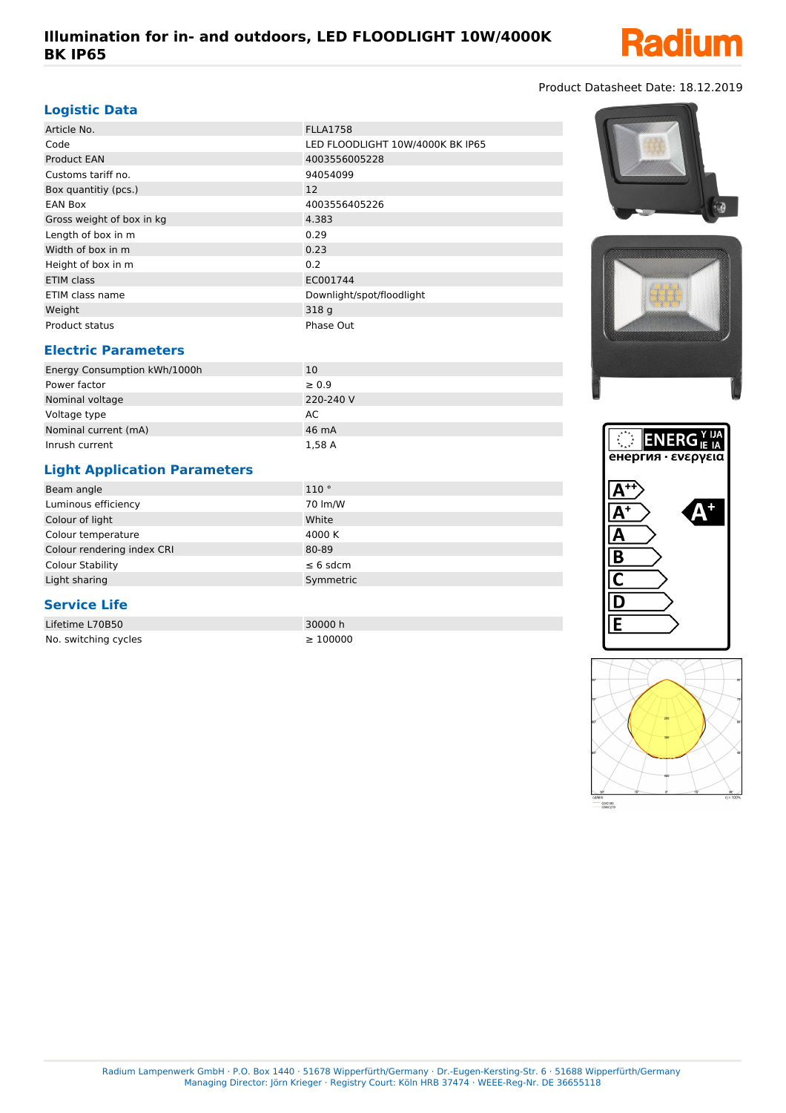

### Product Datasheet Date: 18.12.2019

#### **Logistic Data**

| Article No.               | <b>FLLA1758</b>                  |
|---------------------------|----------------------------------|
| Code                      | LED FLOODLIGHT 10W/4000K BK IP65 |
| <b>Product EAN</b>        | 4003556005228                    |
| Customs tariff no.        | 94054099                         |
| Box quantitiy (pcs.)      | 12                               |
| <b>EAN Box</b>            | 4003556405226                    |
| Gross weight of box in kg | 4.383                            |
| Length of box in m        | 0.29                             |
| Width of box in m         | 0.23                             |
| Height of box in m        | 0.2                              |
| ETIM class                | EC001744                         |
| ETIM class name           | Downlight/spot/floodlight        |
| Weight                    | 318 g                            |
| Product status            | Phase Out                        |

#### **Electric Parameters**

| Energy Consumption kWh/1000h | 10         |  |
|------------------------------|------------|--|
| Power factor                 | $\geq 0.9$ |  |
| Nominal voltage              | 220-240 V  |  |
| Voltage type                 | AC.        |  |
| Nominal current (mA)         | 46 mA      |  |
| Inrush current               | 1.58 A     |  |

## **Light Application Parameters**

| Beam angle                 | 110°          |
|----------------------------|---------------|
| Luminous efficiency        | 70 lm/W       |
| Colour of light            | White         |
| Colour temperature         | 4000 K        |
| Colour rendering index CRI | 80-89         |
| <b>Colour Stability</b>    | $\leq 6$ sdcm |
| Light sharing              | Symmetric     |

### **Service Life**

| Lifetime L70B50      |  |
|----------------------|--|
| No. switching cycles |  |

30000 h  $\geq 100000$ 







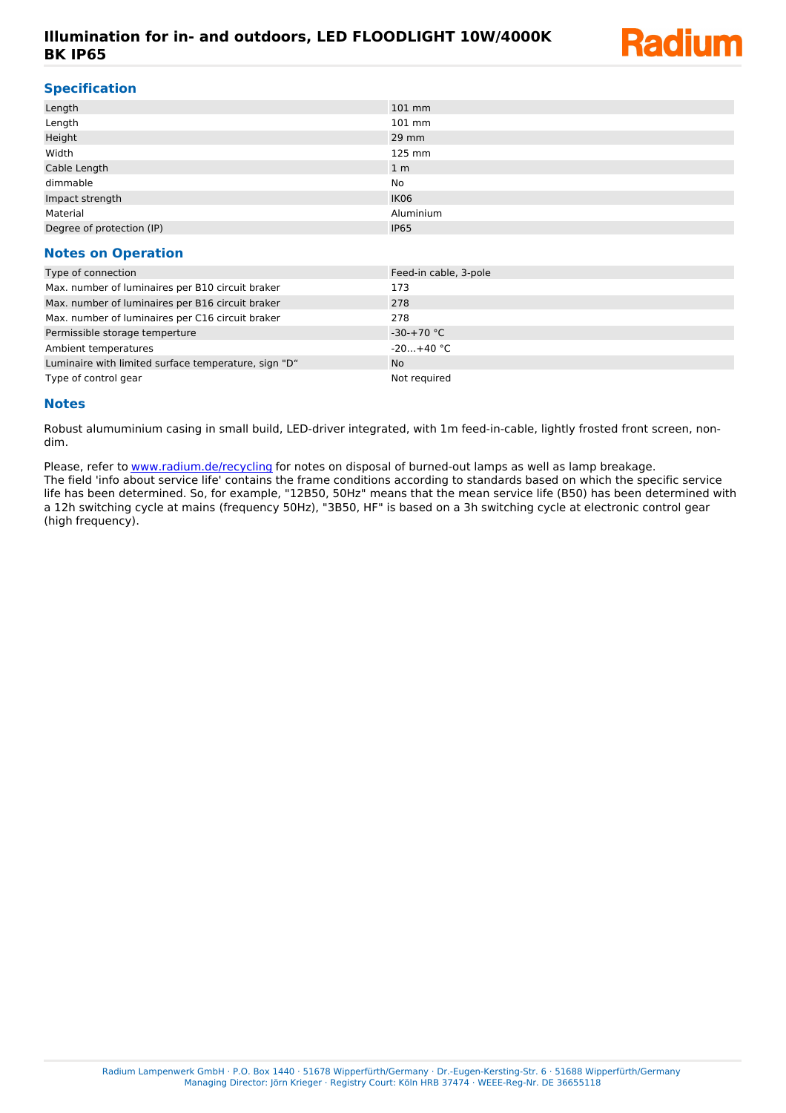## **Illumination for in- and outdoors, LED FLOODLIGHT 10W/4000K BK IP65**



#### **Specification**

| Length                    | 101 mm         |
|---------------------------|----------------|
| Length                    | 101 mm         |
| Height                    | 29 mm          |
| Width                     | 125 mm         |
| Cable Length              | 1 <sub>m</sub> |
| dimmable                  | No             |
| Impact strength           | IK06           |
| Material                  | Aluminium      |
| Degree of protection (IP) | <b>IP65</b>    |
|                           |                |

#### **Notes on Operation**

| Type of connection                                   | Feed-in cable, 3-pole |
|------------------------------------------------------|-----------------------|
| Max. number of luminaires per B10 circuit braker     | 173                   |
| Max. number of luminaires per B16 circuit braker     | 278                   |
| Max. number of luminaires per C16 circuit braker     | 278                   |
| Permissible storage temperture                       | $-30-+70$ °C          |
| Ambient temperatures                                 | $-20+40 °C$           |
| Luminaire with limited surface temperature, sign "D" | <b>No</b>             |
| Type of control gear                                 | Not required          |

#### **Notes**

Robust alumuminium casing in small build, LED-driver integrated, with 1m feed-in-cable, lightly frosted front screen, nondim.

Please, refer to [www.radium.de/recycling](http://www.radium.de/recycling) for notes on disposal of burned-out lamps as well as lamp breakage. The field 'info about service life' contains the frame conditions according to standards based on which the specific service life has been determined. So, for example, "12B50, 50Hz" means that the mean service life (B50) has been determined with a 12h switching cycle at mains (frequency 50Hz), "3B50, HF" is based on a 3h switching cycle at electronic control gear (high frequency).